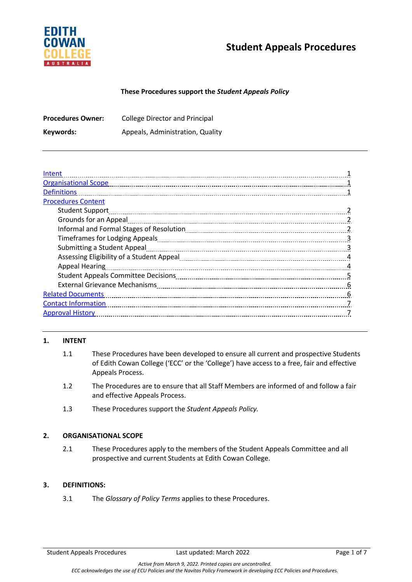

### **These Procedures support the** *Student Appeals Policy*

| <b>Procedures Owner:</b> | <b>College Director and Principal</b> |
|--------------------------|---------------------------------------|
| Keywords:                | Appeals, Administration, Quality      |

| Intent                               |                |
|--------------------------------------|----------------|
| <b>Organisational Scope</b>          |                |
| <b>Definitions</b>                   |                |
| <b>Procedures Content</b>            |                |
| <b>Student Support</b>               |                |
| Grounds for an Appeal                |                |
|                                      |                |
|                                      | 3              |
| Submitting a Student Appeal          | 3              |
|                                      | 4              |
| <b>Appeal Hearing</b>                | 4              |
|                                      | $\overline{5}$ |
| <b>External Grievance Mechanisms</b> | 6              |
| <b>Related Documents</b>             | 6              |
| <b>Contact Information</b>           |                |
| <b>Approval History</b>              |                |
|                                      |                |

### **1. INTENT**

- 1.1 These Procedures have been developed to ensure all current and prospective Students of Edith Cowan College ('ECC' or the 'College') have access to a free, fair and effective Appeals Process.
- 1.2 The Procedures are to ensure that all Staff Members are informed of and follow a fair and effective Appeals Process.
- 1.3 These Procedures support the *Student Appeals Policy.*

### **2. ORGANISATIONAL SCOPE**

2.1 These Procedures apply to the members of the Student Appeals Committee and all prospective and current Students at Edith Cowan College.

## **3. DEFINITIONS:**

3.1 The *Glossary of Policy Terms* applies to these Procedures.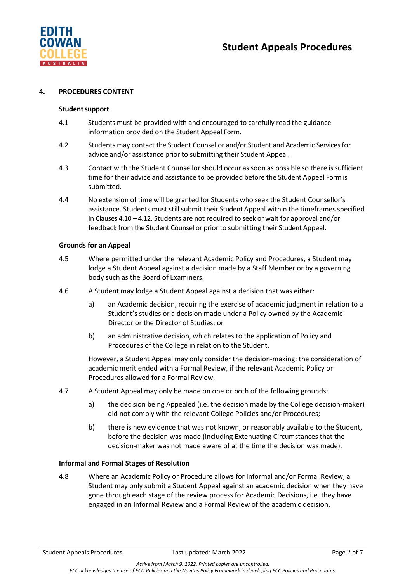

#### **4. PROCEDURES CONTENT**

#### **Studentsupport**

- 4.1 Students must be provided with and encouraged to carefully read the guidance information provided on the Student Appeal Form.
- 4.2 Students may contact the Student Counsellor and/or Student and Academic Services for advice and/or assistance prior to submitting their Student Appeal.
- 4.3 Contact with the Student Counsellorshould occur as soon as possible so there is sufficient time for their advice and assistance to be provided before the Student Appeal Form is submitted.
- 4.4 No extension of time will be granted for Students who seek the Student Counsellor's assistance. Students must still submit their Student Appeal within the timeframes specified in Clauses 4.10 – 4.12. Students are not required to seek or wait for approval and/or feedback from the Student Counsellor prior to submitting their Student Appeal.

#### **Grounds for an Appeal**

- 4.5 Where permitted under the relevant Academic Policy and Procedures, a Student may lodge a Student Appeal against a decision made by a Staff Member or by a governing body such as the Board of Examiners.
- 4.6 A Student may lodge a Student Appeal against a decision that was either:
	- a) an Academic decision, requiring the exercise of academic judgment in relation to a Student's studies or a decision made under a Policy owned by the Academic Director or the Director of Studies; or
	- b) an administrative decision, which relates to the application of Policy and Procedures of the College in relation to the Student.

However, a Student Appeal may only consider the decision-making; the consideration of academic merit ended with a Formal Review, if the relevant Academic Policy or Procedures allowed for a Formal Review.

- 4.7 A Student Appeal may only be made on one or both of the following grounds:
	- a) the decision being Appealed (i.e. the decision made by the College decision-maker) did not comply with the relevant College Policies and/or Procedures;
	- b) there is new evidence that was not known, or reasonably available to the Student, before the decision was made (including Extenuating Circumstances that the decision-maker was not made aware of at the time the decision was made).

#### **Informal and Formal Stages of Resolution**

4.8 Where an Academic Policy or Procedure allows for Informal and/or Formal Review, a Student may only submit a Student Appeal against an academic decision when they have gone through each stage of the review process for Academic Decisions, i.e. they have engaged in an Informal Review and a Formal Review of the academic decision.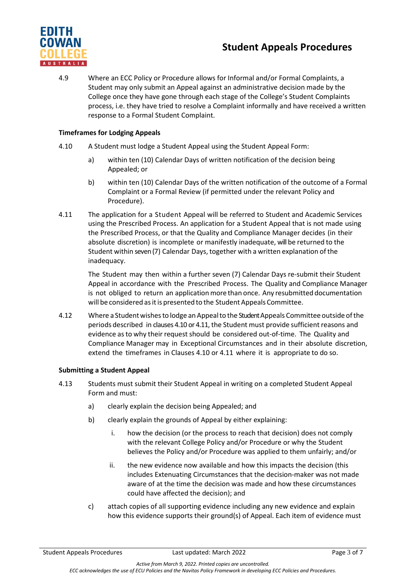

4.9 Where an ECC Policy or Procedure allows for Informal and/or Formal Complaints, a Student may only submit an Appeal against an administrative decision made by the College once they have gone through each stage of the College's Student Complaints process, i.e. they have tried to resolve a Complaint informally and have received a written response to a Formal Student Complaint.

## **Timeframes for Lodging Appeals**

- 4.10 A Student must lodge a Student Appeal using the Student Appeal Form:
	- a) within ten (10) Calendar Days of written notification of the decision being Appealed; or
	- b) within ten (10) Calendar Days of the written notification of the outcome of a Formal Complaint or a Formal Review (if permitted under the relevant Policy and Procedure).
- 4.11 The application for a Student Appeal will be referred to Student and Academic Services using the Prescribed Process. An application for a Student Appeal that is not made using the Prescribed Process, or that the Quality and Compliance Manager decides (in their absolute discretion) is incomplete or manifestly inadequate, will be returned to the Student within seven (7) Calendar Days, together with a written explanation of the inadequacy.

The Student may then within a further seven (7) Calendar Days re-submit their Student Appeal in accordance with the Prescribed Process. The Quality and Compliance Manager is not obliged to return an application more than once. Any resubmitted documentation will be considered as it is presented to the Student Appeals Committee.

4.12 Where a Studentwishesto lodge an Appealto the Student Appeals Committee outside ofthe periods described in clauses 4.10 or 4.11, the Student must provide sufficient reasons and evidence asto why their request should be considered out-of-time. The Quality and Compliance Manager may in Exceptional Circumstances and in their absolute discretion, extend the timeframes in Clauses 4.10 or 4.11 where it is appropriate to do so.

## **Submitting a Student Appeal**

- 4.13 Students must submit their Student Appeal in writing on a completed Student Appeal Form and must:
	- a) clearly explain the decision being Appealed; and
	- b) clearly explain the grounds of Appeal by either explaining:
		- i. how the decision (or the process to reach that decision) does not comply with the relevant College Policy and/or Procedure or why the Student believes the Policy and/or Procedure was applied to them unfairly; and/or
		- ii. the new evidence now available and how this impacts the decision (this includes Extenuating Circumstances that the decision-maker was not made aware of at the time the decision was made and how these circumstances could have affected the decision); and
	- c) attach copies of all supporting evidence including any new evidence and explain how this evidence supports their ground(s) of Appeal. Each item of evidence must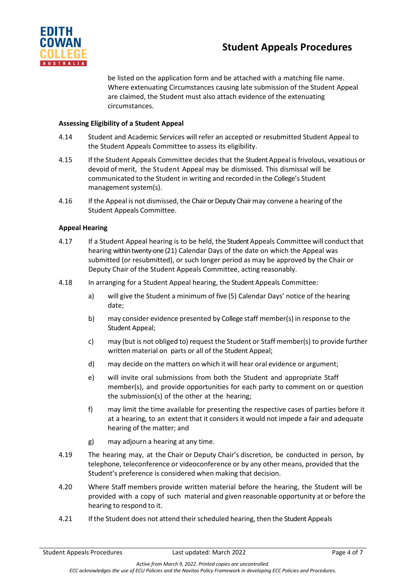

be listed on the application form and be attached with a matching file name. Where extenuating Circumstances causing late submission of the Student Appeal are claimed, the Student must also attach evidence of the extenuating circumstances.

## **Assessing Eligibility of a Student Appeal**

- 4.14 Student and Academic Services will refer an accepted or resubmitted Student Appeal to the Student Appeals Committee to assess its eligibility.
- 4.15 If the Student Appeals Committee decides that the Student Appeal isfrivolous, vexatious or devoid of merit, the Student Appeal may be dismissed. This dismissal will be communicated to the Student in writing and recorded in the College's Student management system(s).
- 4.16 If the Appeal is not dismissed, the Chair or Deputy Chair may convene a hearing of the Student Appeals Committee.

### **Appeal Hearing**

- 4.17 If a Student Appeal hearing is to be held, the Student Appeals Committee will conduct that hearing within twenty-one (21) Calendar Days of the date on which the Appeal was submitted (or resubmitted), or such longer period as may be approved by the Chair or Deputy Chair of the Student Appeals Committee, acting reasonably.
- 4.18 In arranging for a Student Appeal hearing, the Student Appeals Committee:
	- a) will give the Student a minimum of five (5) Calendar Days' notice of the hearing date;
	- b) may consider evidence presented by College staff member(s) in response to the Student Appeal;
	- c) may (but is not obliged to) request the Student or Staff member(s) to provide further written material on parts or all of the Student Appeal;
	- d) may decide on the matters on which it will hear oral evidence or argument;
	- e) will invite oral submissions from both the Student and appropriate Staff member(s), and provide opportunities for each party to comment on or question the submission(s) of the other at the hearing;
	- f) may limit the time available for presenting the respective cases of parties before it at a hearing, to an extent that it considers it would not impede a fair and adequate hearing of the matter; and
	- g) may adjourn a hearing at any time.
- 4.19 The hearing may, at the Chair or Deputy Chair's discretion, be conducted in person, by telephone, teleconference or videoconference or by any other means, provided that the Student's preference is considered when making that decision.
- 4.20 Where Staff members provide written material before the hearing, the Student will be provided with a copy of such material and given reasonable opportunity at or before the hearing to respond to it.
- 4.21 If the Student does not attend their scheduled hearing, then the Student Appeals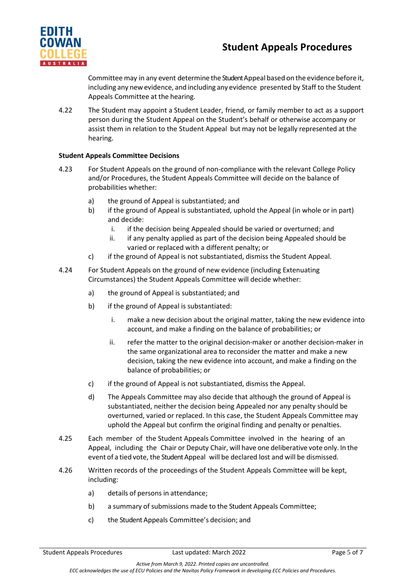

Committee may in any event determine the Student Appeal based on the evidence before it, including any new evidence, and including any evidence presented by Staff to the Student Appeals Committee at the hearing.

4.22 The Student may appoint a Student Leader, friend, or family member to act as a support person during the Student Appeal on the Student's behalf or otherwise accompany or assist them in relation to the Student Appeal but may not be legally represented at the hearing.

## **Student Appeals Committee Decisions**

- 4.23 For Student Appeals on the ground of non-compliance with the relevant College Policy and/or Procedures, the Student Appeals Committee will decide on the balance of probabilities whether:
	- a) the ground of Appeal is substantiated; and
	- b) if the ground of Appeal is substantiated, uphold the Appeal (in whole or in part) and decide:
		- i. if the decision being Appealed should be varied or overturned; and
		- ii. if any penalty applied as part of the decision being Appealed should be varied or replaced with a different penalty; or
	- c) if the ground of Appeal is not substantiated, dismiss the Student Appeal.
- 4.24 For Student Appeals on the ground of new evidence (including Extenuating Circumstances) the Student Appeals Committee will decide whether:
	- a) the ground of Appeal is substantiated; and
	- b) if the ground of Appeal is substantiated:
		- i. make a new decision about the original matter, taking the new evidence into account, and make a finding on the balance of probabilities; or
		- ii. refer the matter to the original decision-maker or another decision-maker in the same organizational area to reconsider the matter and make a new decision, taking the new evidence into account, and make a finding on the balance of probabilities; or
	- c) if the ground of Appeal is not substantiated, dismiss the Appeal.
	- d) The Appeals Committee may also decide that although the ground of Appeal is substantiated, neither the decision being Appealed nor any penalty should be overturned, varied or replaced. In this case, the Student Appeals Committee may uphold the Appeal but confirm the original finding and penalty or penalties.
- 4.25 Each member of the Student Appeals Committee involved in the hearing of an Appeal, including the Chair or Deputy Chair, will have one deliberative vote only. In the event of a tied vote, the Student Appeal will be declared lost and will be dismissed.
- 4.26 Written records of the proceedings of the Student Appeals Committee will be kept, including:
	- a) details of persons in attendance;
	- b) a summary of submissions made to the Student Appeals Committee;
	- c) the Student Appeals Committee's decision; and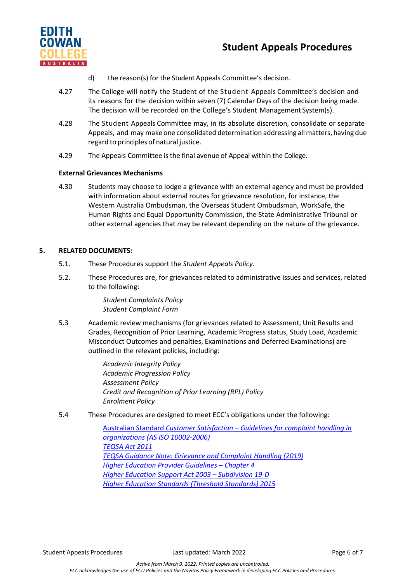

- d) the reason(s) for the Student Appeals Committee's decision.
- 4.27 The College will notify the Student of the Student Appeals Committee's decision and its reasons for the decision within seven (7) Calendar Days of the decision being made. The decision will be recorded on the College's Student Management System(s).
- 4.28 The Student Appeals Committee may, in its absolute discretion, consolidate or separate Appeals, and may make one consolidated determination addressing allmatters, having due regard to principles of natural justice.
- 4.29 The Appeals Committee is the final avenue of Appeal within the College.

### **External Grievances Mechanisms**

4.30 Students may choose to lodge a grievance with an external agency and must be provided with information about external routes for grievance resolution, for instance, the Western Australia Ombudsman, the Overseas Student Ombudsman, WorkSafe, the Human Rights and Equal Opportunity Commission, the State Administrative Tribunal or other external agencies that may be relevant depending on the nature of the grievance.

### **5. RELATED DOCUMENTS:**

- 5.1. These Procedures support the *Student Appeals Policy*.
- 5.2. These Procedures are, for grievances related to administrative issues and services, related to the following:

*Student Complaints Policy Student Complaint Form*

5.3 Academic review mechanisms (for grievances related to Assessment, Unit Results and Grades, Recognition of Prior Learning, Academic Progress status, Study Load, Academic Misconduct Outcomes and penalties, Examinations and Deferred Examinations) are outlined in the relevant policies, including:

> *Academic Integrity Policy Academic Progression Policy Assessment Policy Credit and Recognition of Prior Learning (RPL) Policy Enrolment Policy*

5.4 These Procedures are designed to meet ECC's obligations under the following:

Australian Standard *Customer Satisfaction – [Guidelines for complaint handling in](https://www.iso.org/standard/65712.html)  [organizations \(AS ISO 10002-2006\)](https://www.iso.org/standard/65712.html) [TEQSA Act 2011](https://www.teqsa.gov.au/teqsa-act) [TEQSA Guidance Note: Grievance and Complaint Handling \(2019\)](https://www.teqsa.gov.au/for-providers/resources/guidance-note-grievance-and-complaint-handling) [Higher Education Provider Guidelines –](https://www.legislation.gov.au/Details/F2020C00676) Chapter 4 [Higher Education Support Act 2003 –](https://www.legislation.gov.au/Details/C2019C00033) Subdivision 19-D [Higher Education Standards \(Threshold Standards\) 2015](https://www.legislation.gov.au/Details/F2015L01639)*